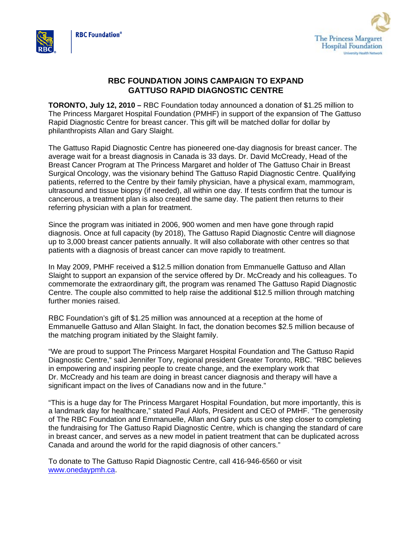



# **RBC FOUNDATION JOINS CAMPAIGN TO EXPAND GATTUSO RAPID DIAGNOSTIC CENTRE**

**TORONTO, July 12, 2010 –** RBC Foundation today announced a donation of \$1.25 million to The Princess Margaret Hospital Foundation (PMHF) in support of the expansion of The Gattuso Rapid Diagnostic Centre for breast cancer. This gift will be matched dollar for dollar by philanthropists Allan and Gary Slaight.

The Gattuso Rapid Diagnostic Centre has pioneered one-day diagnosis for breast cancer. The average wait for a breast diagnosis in Canada is 33 days. Dr. David McCready, Head of the Breast Cancer Program at The Princess Margaret and holder of The Gattuso Chair in Breast Surgical Oncology, was the visionary behind The Gattuso Rapid Diagnostic Centre. Qualifying patients, referred to the Centre by their family physician, have a physical exam, mammogram, ultrasound and tissue biopsy (if needed), all within one day. If tests confirm that the tumour is cancerous, a treatment plan is also created the same day. The patient then returns to their referring physician with a plan for treatment.

Since the program was initiated in 2006, 900 women and men have gone through rapid diagnosis. Once at full capacity (by 2018), The Gattuso Rapid Diagnostic Centre will diagnose up to 3,000 breast cancer patients annually. It will also collaborate with other centres so that patients with a diagnosis of breast cancer can move rapidly to treatment.

In May 2009, PMHF received a \$12.5 million donation from Emmanuelle Gattuso and Allan Slaight to support an expansion of the service offered by Dr. McCready and his colleagues. To commemorate the extraordinary gift, the program was renamed The Gattuso Rapid Diagnostic Centre. The couple also committed to help raise the additional \$12.5 million through matching further monies raised.

RBC Foundation's gift of \$1.25 million was announced at a reception at the home of Emmanuelle Gattuso and Allan Slaight. In fact, the donation becomes \$2.5 million because of the matching program initiated by the Slaight family.

"We are proud to support The Princess Margaret Hospital Foundation and The Gattuso Rapid Diagnostic Centre," said Jennifer Tory, regional president Greater Toronto, RBC. "RBC believes in empowering and inspiring people to create change, and the exemplary work that Dr. McCready and his team are doing in breast cancer diagnosis and therapy will have a significant impact on the lives of Canadians now and in the future."

"This is a huge day for The Princess Margaret Hospital Foundation, but more importantly, this is a landmark day for healthcare," stated Paul Alofs, President and CEO of PMHF. "The generosity of The RBC Foundation and Emmanuelle, Allan and Gary puts us one step closer to completing the fundraising for The Gattuso Rapid Diagnostic Centre, which is changing the standard of care in breast cancer, and serves as a new model in patient treatment that can be duplicated across Canada and around the world for the rapid diagnosis of other cancers."

To donate to The Gattuso Rapid Diagnostic Centre, call 416-946-6560 or visit [www.onedaypmh.ca](http://www.onedaypmh.ca/).